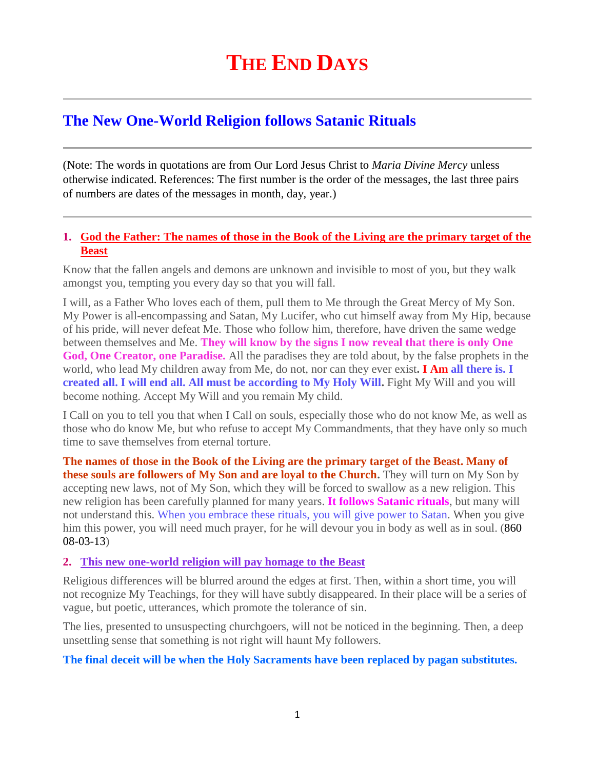# **The New One-World Religion follows Satanic Rituals**

(Note: The words in quotations are from Our Lord Jesus Christ to *Maria Divine Mercy* unless otherwise indicated. References: The first number is the order of the messages, the last three pairs of numbers are dates of the messages in month, day, year.)

# **1. [God the Father: The names of those in the Book of the Living are the primary target of the](http://www.thewarningsecondcoming.com/god-the-father-the-names-of-those-in-the-book-of-the-living-are-the-primary-target-of-the-beast/)  [Beast](http://www.thewarningsecondcoming.com/god-the-father-the-names-of-those-in-the-book-of-the-living-are-the-primary-target-of-the-beast/)**

Know that the fallen angels and demons are unknown and invisible to most of you, but they walk amongst you, tempting you every day so that you will fall.

I will, as a Father Who loves each of them, pull them to Me through the Great Mercy of My Son. My Power is all-encompassing and Satan, My Lucifer, who cut himself away from My Hip, because of his pride, will never defeat Me. Those who follow him, therefore, have driven the same wedge between themselves and Me. **They will know by the signs I now reveal that there is only One God, One Creator, one Paradise.** All the paradises they are told about, by the false prophets in the world, who lead My children away from Me, do not, nor can they ever exist**. I Am all there is. I created all. I will end all. All must be according to My Holy Will.** Fight My Will and you will become nothing. Accept My Will and you remain My child.

I Call on you to tell you that when I Call on souls, especially those who do not know Me, as well as those who do know Me, but who refuse to accept My Commandments, that they have only so much time to save themselves from eternal torture.

**The names of those in the Book of the Living are the primary target of the Beast. Many of these souls are followers of My Son and are loyal to the Church.** They will turn on My Son by accepting new laws, not of My Son, which they will be forced to swallow as a new religion. This new religion has been carefully planned for many years. **It follows Satanic rituals**, but many will not understand this. When you embrace these rituals, you will give power to Satan. When you give him this power, you will need much prayer, for he will devour you in body as well as in soul. (860 08-03-13)

### **2. [This new one-world religion will pay homage to the Beast](http://www.thewarningsecondcoming.com/this-new-one-world-religion-will-pay-homage-to-the-beast/)**

Religious differences will be blurred around the edges at first. Then, within a short time, you will not recognize My Teachings, for they will have subtly disappeared. In their place will be a series of vague, but poetic, utterances, which promote the tolerance of sin.

The lies, presented to unsuspecting churchgoers, will not be noticed in the beginning. Then, a deep unsettling sense that something is not right will haunt My followers.

### **The final deceit will be when the Holy Sacraments have been replaced by pagan substitutes.**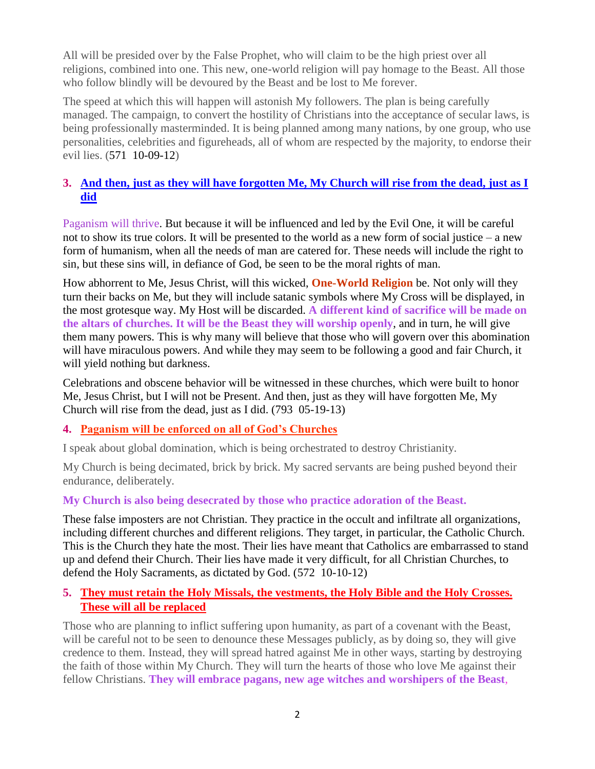All will be presided over by the False Prophet, who will claim to be the high priest over all religions, combined into one. This new, one-world religion will pay homage to the Beast. All those who follow blindly will be devoured by the Beast and be lost to Me forever.

The speed at which this will happen will astonish My followers. The plan is being carefully managed. The campaign, to convert the hostility of Christians into the acceptance of secular laws, is being professionally masterminded. It is being planned among many nations, by one group, who use personalities, celebrities and figureheads, all of whom are respected by the majority, to endorse their evil lies. (571 10-09-12)

# **3. [And then, just as they will have forgotten Me, My Church will rise from the dead, just as I](http://www.thewarningsecondcoming.com/and-then-just-as-they-will-have-forgotten-me-my-church-will-rise-from-the-dead-just-as-i-did/)  [did](http://www.thewarningsecondcoming.com/and-then-just-as-they-will-have-forgotten-me-my-church-will-rise-from-the-dead-just-as-i-did/)**

Paganism will thrive. But because it will be influenced and led by the Evil One, it will be careful not to show its true colors. It will be presented to the world as a new form of social justice – a new form of humanism, when all the needs of man are catered for. These needs will include the right to sin, but these sins will, in defiance of God, be seen to be the moral rights of man.

How abhorrent to Me, Jesus Christ, will this wicked, **One-World Religion** be. Not only will they turn their backs on Me, but they will include satanic symbols where My Cross will be displayed, in the most grotesque way. My Host will be discarded. **A different kind of sacrifice will be made on the altars of churches. It will be the Beast they will worship openly**, and in turn, he will give them many powers. This is why many will believe that those who will govern over this abomination will have miraculous powers. And while they may seem to be following a good and fair Church, it will yield nothing but darkness.

Celebrations and obscene behavior will be witnessed in these churches, which were built to honor Me, Jesus Christ, but I will not be Present. And then, just as they will have forgotten Me, My Church will rise from the dead, just as I did. (793 05-19-13)

## **4. [Paganism will be enforced on all of God's Churches](http://www.thewarningsecondcoming.com/paganism-will-be-enforced-on-all-of-gods-churches/)**

I speak about global domination, which is being orchestrated to destroy Christianity.

My Church is being decimated, brick by brick. My sacred servants are being pushed beyond their endurance, deliberately.

## **My Church is also being desecrated by those who practice adoration of the Beast.**

These false imposters are not Christian. They practice in the occult and infiltrate all organizations, including different churches and different religions. They target, in particular, the Catholic Church. This is the Church they hate the most. Their lies have meant that Catholics are embarrassed to stand up and defend their Church. Their lies have made it very difficult, for all Christian Churches, to defend the Holy Sacraments, as dictated by God. (572 10-10-12)

# **5. [They must retain the Holy Missals, the vestments, the Holy Bible and the Holy Crosses.](http://www.thewarningsecondcoming.com/they-must-retain-the-holy-missals-the-vestments-the-holy-bible-and-the-holy-crosses-these-will-all-be-replaced/)  [These will all be replaced](http://www.thewarningsecondcoming.com/they-must-retain-the-holy-missals-the-vestments-the-holy-bible-and-the-holy-crosses-these-will-all-be-replaced/)**

Those who are planning to inflict suffering upon humanity, as part of a covenant with the Beast, will be careful not to be seen to denounce these Messages publicly, as by doing so, they will give credence to them. Instead, they will spread hatred against Me in other ways, starting by destroying the faith of those within My Church. They will turn the hearts of those who love Me against their fellow Christians. **They will embrace pagans, new age witches and worshipers of the Beast**,